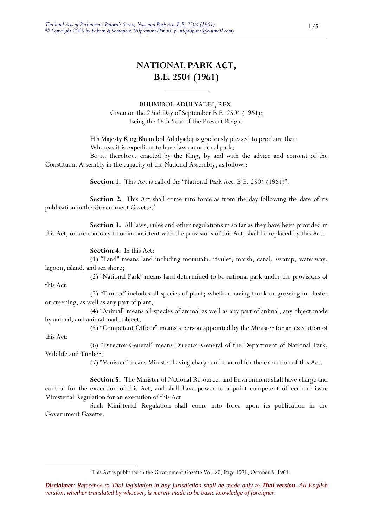# **NATIONAL PARK ACT, B.E. 2504 (1961)**

BHUMIBOL ADULYADEJ, REX. Given on the 22nd Day of September B.E. 2504 (1961); Being the 16th Year of the Present Reign.

 His Majesty King Bhumibol Adulyadej is graciously pleased to proclaim that: Whereas it is expedient to have law on national park;

 Be it, therefore, enacted by the King, by and with the advice and consent of the Constituent Assembly in the capacity of the National Assembly, as follows:

**Section 1.** This Act is called the "National Park Act, B.E. 2504 (1961)".

 **Section 2.** This Act shall come into force as from the day following the date of its publication in the Government Gazette.\*

 **Section 3.** All laws, rules and other regulations in so far as they have been provided in this Act, or are contrary to or inconsistent with the provisions of this Act, shall be replaced by this Act.

**Section 4.** In this Act:

<u>.</u>

 (1) "Land" means land including mountain, rivulet, marsh, canal, swamp, waterway, lagoon, island, and sea shore;

 (2) "National Park" means land determined to be national park under the provisions of this Act;

 (3) "Timber" includes all species of plant; whether having trunk or growing in cluster or creeping, as well as any part of plant;

 (4) "Animal" means all species of animal as well as any part of animal, any object made by animal, and animal made object;

 (5) "Competent Officer" means a person appointed by the Minister for an execution of this Act;

 (6) "Director-General" means Director-General of the Department of National Park, Wildlife and Timber;

(7) "Minister" means Minister having charge and control for the execution of this Act.

 **Section 5.** The Minister of National Resources and Environment shall have charge and control for the execution of this Act, and shall have power to appoint competent officer and issue Ministerial Regulation for an execution of this Act.

 Such Ministerial Regulation shall come into force upon its publication in the Government Gazette.

<sup>\*</sup> This Act is published in the Government Gazette Vol. 80, Page 1071, October 3, 1961.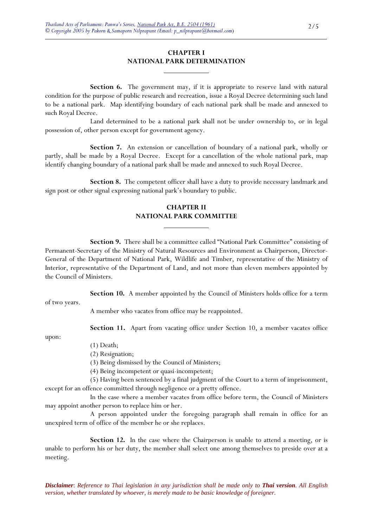## **CHAPTER I NATIONAL PARK DETERMINATION**

 $\overline{a}$ 

**Section 6.** The government may, if it is appropriate to reserve land with natural condition for the purpose of public research and recreation, issue a Royal Decree determining such land to be a national park. Map identifying boundary of each national park shall be made and annexed to such Royal Decree.

 Land determined to be a national park shall not be under ownership to, or in legal possession of, other person except for government agency.

 **Section 7.** An extension or cancellation of boundary of a national park, wholly or partly, shall be made by a Royal Decree. Except for a cancellation of the whole national park, map identify changing boundary of a national park shall be made and annexed to such Royal Decree.

 **Section 8.** The competent officer shall have a duty to provide necessary landmark and sign post or other signal expressing national park's boundary to public.

## **CHAPTER II NATIONAL PARK COMMITTEE**

 **Section 9.** There shall be a committee called "National Park Committee" consisting of Permanent-Secretary of the Ministry of Natural Resources and Environment as Chairperson, Director-General of the Department of National Park, Wildlife and Timber, representative of the Ministry of Interior, representative of the Department of Land, and not more than eleven members appointed by the Council of Ministers.

 **Section 10.** A member appointed by the Council of Ministers holds office for a term of two years.

A member who vacates from office may be reappointed.

 $\overline{a}$ 

upon:

**Section 11.** Apart from vacating office under Section 10, a member vacates office

(1) Death;

(2) Resignation;

(3) Being dismissed by the Council of Ministers;

(4) Being incompetent or quasi-incompetent;

 (5) Having been sentenced by a final judgment of the Court to a term of imprisonment, except for an offence committed through negligence or a pretty offence.

 In the case where a member vacates from office before term, the Council of Ministers may appoint another person to replace him or her.

 A person appointed under the foregoing paragraph shall remain in office for an unexpired term of office of the member he or she replaces.

**Section 12.** In the case where the Chairperson is unable to attend a meeting, or is unable to perform his or her duty, the member shall select one among themselves to preside over at a meeting.

*Disclaimer*: *Reference to Thai legislation in any jurisdiction shall be made only to Thai version. All English version, whether translated by whoever, is merely made to be basic knowledge of foreigner.*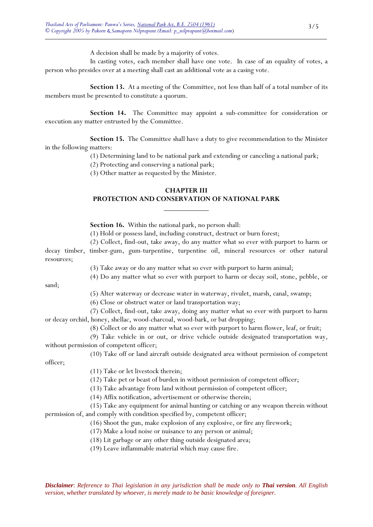A decision shall be made by a majority of votes.

 In casting votes, each member shall have one vote. In case of an equality of votes, a person who presides over at a meeting shall cast an additional vote as a casing vote.

**Section 13.** At a meeting of the Committee, not less than half of a total number of its members must be presented to constitute a quorum.

**Section 14.** The Committee may appoint a sub-committee for consideration or execution any matter entrusted by the Committee.

 **Section 15.** The Committee shall have a duty to give recommendation to the Minister in the following matters:

(1) Determining land to be national park and extending or canceling a national park;

(2) Protecting and conserving a national park;

(3) Other matter as requested by the Minister.

## **CHAPTER III PROTECTION AND CONSERVATION OF NATIONAL PARK**

**Section 16.** Within the national park, no person shall:

 $\overline{a}$ 

(1) Hold or possess land, including construct, destruct or burn forest;

 (2) Collect, find-out, take away, do any matter what so ever with purport to harm or decay timber, timber-gum, gum-turpentine, turpentine oil, mineral resources or other natural resources;

(3) Take away or do any matter what so ever with purport to harm animal;

(4) Do any matter what so ever with purport to harm or decay soil, stone, pebble, or

sand;

(5) Alter waterway or decrease water in waterway, rivulet, marsh, canal, swamp;

(6) Close or obstruct water or land transportation way;

 (7) Collect, find-out, take away, doing any matter what so ever with purport to harm or decay orchid, honey, shellac, wood-charcoal, wood-bark, or bat dropping;

(8) Collect or do any matter what so ever with purport to harm flower, leaf, or fruit;

 (9) Take vehicle in or out, or drive vehicle outside designated transportation way, without permission of competent officer;

(10) Take off or land aircraft outside designated area without permission of competent

officer;

(11) Take or let livestock therein;

(12) Take pet or beast of burden in without permission of competent officer;

(13) Take advantage from land without permission of competent officer;

(14) Affix notification, advertisement or otherwise therein;

 (15) Take any equipment for animal hunting or catching or any weapon therein without permission of, and comply with condition specified by, competent officer;

(16) Shoot the gun, make explosion of any explosive, or fire any firework;

(17) Make a loud noise or nuisance to any person or animal;

(18) Lit garbage or any other thing outside designated area;

(19) Leave inflammable material which may cause fire.

*Disclaimer*: *Reference to Thai legislation in any jurisdiction shall be made only to Thai version. All English version, whether translated by whoever, is merely made to be basic knowledge of foreigner.*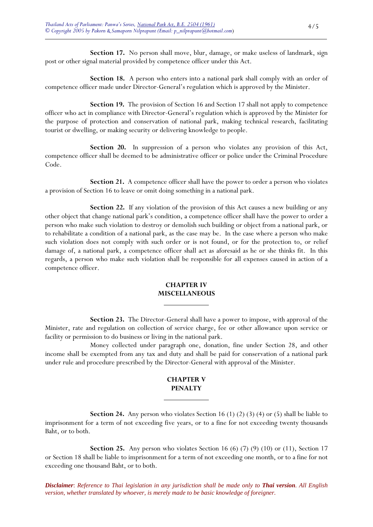**Section 17.** No person shall move, blur, damage, or make useless of landmark, sign post or other signal material provided by competence officer under this Act.

 **Section 18.** A person who enters into a national park shall comply with an order of competence officer made under Director-General's regulation which is approved by the Minister.

**Section 19.** The provision of Section 16 and Section 17 shall not apply to competence officer who act in compliance with Director-General's regulation which is approved by the Minister for the purpose of protection and conservation of national park, making technical research, facilitating tourist or dwelling, or making security or delivering knowledge to people.

 **Section 20.** In suppression of a person who violates any provision of this Act, competence officer shall be deemed to be administrative officer or police under the Criminal Procedure Code.

**Section 21.** A competence officer shall have the power to order a person who violates a provision of Section 16 to leave or omit doing something in a national park.

**Section 22.** If any violation of the provision of this Act causes a new building or any other object that change national park's condition, a competence officer shall have the power to order a person who make such violation to destroy or demolish such building or object from a national park, or to rehabilitate a condition of a national park, as the case may be. In the case where a person who make such violation does not comply with such order or is not found, or for the protection to, or relief damage of, a national park, a competence officer shall act as aforesaid as he or she thinks fit. In this regards, a person who make such violation shall be responsible for all expenses caused in action of a competence officer.

## **CHAPTER IV MISCELLANEOUS**

 $\overline{a}$ 

 $\overline{a}$ 

 **Section 23.** The Director-General shall have a power to impose, with approval of the Minister, rate and regulation on collection of service charge, fee or other allowance upon service or facility or permission to do business or living in the national park.

 Money collected under paragraph one, donation, fine under Section 28, and other income shall be exempted from any tax and duty and shall be paid for conservation of a national park under rule and procedure prescribed by the Director-General with approval of the Minister.

## **CHAPTER V PENALTY**

**Section 24.** Any person who violates Section 16 (1) (2) (3) (4) or (5) shall be liable to imprisonment for a term of not exceeding five years, or to a fine for not exceeding twenty thousands Baht, or to both.

**Section 25.** Any person who violates Section 16 (6) (7) (9) (10) or (11), Section 17 or Section 18 shall be liable to imprisonment for a term of not exceeding one month, or to a fine for not exceeding one thousand Baht, or to both.

*Disclaimer*: *Reference to Thai legislation in any jurisdiction shall be made only to Thai version. All English version, whether translated by whoever, is merely made to be basic knowledge of foreigner.*